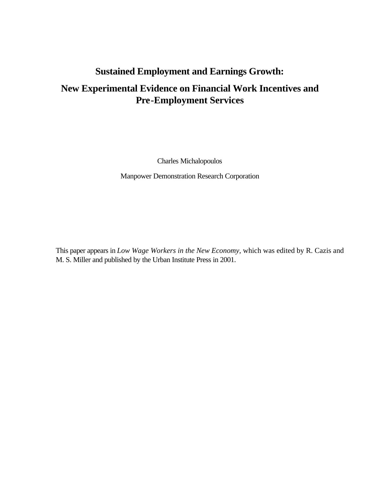# **Sustained Employment and Earnings Growth:**

# **New Experimental Evidence on Financial Work Incentives and Pre-Employment Services**

Charles Michalopoulos

Manpower Demonstration Research Corporation

This paper appears in *Low Wage Workers in the New Economy,* which was edited by R. Cazis and M. S. Miller and published by the Urban Institute Press in 2001.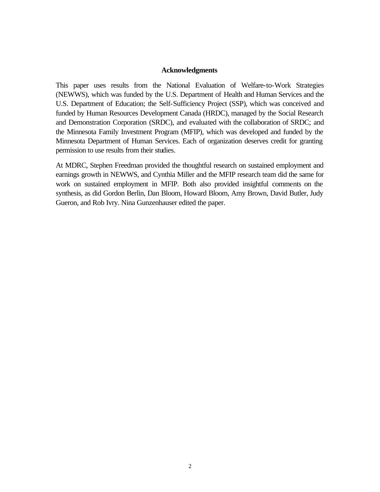#### **Acknowledgments**

This paper uses results from the National Evaluation of Welfare-to-Work Strategies (NEWWS), which was funded by the U.S. Department of Health and Human Services and the U.S. Department of Education; the Self-Sufficiency Project (SSP), which was conceived and funded by Human Resources Development Canada (HRDC), managed by the Social Research and Demonstration Corporation (SRDC), and evaluated with the collaboration of SRDC; and the Minnesota Family Investment Program (MFIP), which was developed and funded by the Minnesota Department of Human Services. Each of organization deserves credit for granting permission to use results from their studies.

At MDRC, Stephen Freedman provided the thoughtful research on sustained employment and earnings growth in NEWWS, and Cynthia Miller and the MFIP research team did the same for work on sustained employment in MFIP. Both also provided insightful comments on the synthesis, as did Gordon Berlin, Dan Bloom, Howard Bloom, Amy Brown, David Butler, Judy Gueron, and Rob Ivry. Nina Gunzenhauser edited the paper.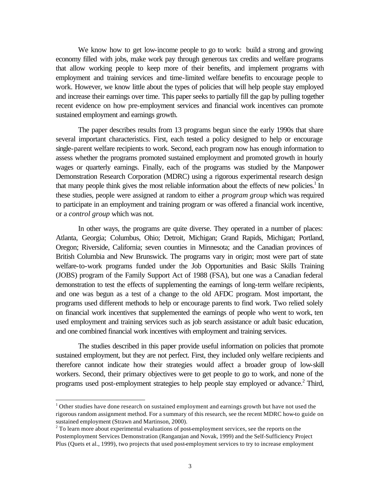We know how to get low-income people to go to work: build a strong and growing economy filled with jobs, make work pay through generous tax credits and welfare programs that allow working people to keep more of their benefits, and implement programs with employment and training services and time-limited welfare benefits to encourage people to work. However, we know little about the types of policies that will help people stay employed and increase their earnings over time. This paper seeks to partially fill the gap by pulling together recent evidence on how pre-employment services and financial work incentives can promote sustained employment and earnings growth.

The paper describes results from 13 programs begun since the early 1990s that share several important characteristics. First, each tested a policy designed to help or encourage single-parent welfare recipients to work. Second, each program now has enough information to assess whether the programs promoted sustained employment and promoted growth in hourly wages or quarterly earnings. Finally, each of the programs was studied by the Manpower Demonstration Research Corporation (MDRC) using a rigorous experimental research design that many people think gives the most reliable information about the effects of new policies.<sup>1</sup> In these studies, people were assigned at random to either a *program group* which was required to participate in an employment and training program or was offered a financial work incentive, or a *control group* which was not.

In other ways, the programs are quite diverse. They operated in a number of places: Atlanta, Georgia; Columbus, Ohio; Detroit, Michigan; Grand Rapids, Michigan; Portland, Oregon; Riverside, California; seven counties in Minnesota; and the Canadian provinces of British Columbia and New Brunswick. The programs vary in origin; most were part of state welfare-to-work programs funded under the Job Opportunities and Basic Skills Training (JOBS) program of the Family Support Act of 1988 (FSA), but one was a Canadian federal demonstration to test the effects of supplementing the earnings of long-term welfare recipients, and one was begun as a test of a change to the old AFDC program. Most important, the programs used different methods to help or encourage parents to find work. Two relied solely on financial work incentives that supplemented the earnings of people who went to work, ten used employment and training services such as job search assistance or adult basic education, and one combined financial work incentives with employment and training services.

The studies described in this paper provide useful information on policies that promote sustained employment, but they are not perfect. First, they included only welfare recipients and therefore cannot indicate how their strategies would affect a broader group of low-skill workers. Second, their primary objectives were to get people to go to work, and none of the programs used post-employment strategies to help people stay employed or advance.<sup>2</sup> Third,

 $1$  Other studies have done research on sustained employment and earnings growth but have not used the rigorous random assignment method. For a summary of this research, see the recent MDRC how-to guide on sustained employment (Strawn and Martinson, 2000).

 $2^{2}$  To learn more about experimental evaluations of post-employment services, see the reports on the Postemployment Services Demonstration (Rangarajan and Novak, 1999) and the Self-Sufficiency Project Plus (Quets et al., 1999), two projects that used post-employment services to try to increase employment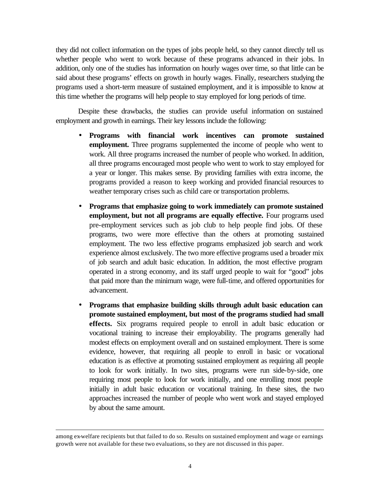they did not collect information on the types of jobs people held, so they cannot directly tell us whether people who went to work because of these programs advanced in their jobs. In addition, only one of the studies has information on hourly wages over time, so that little can be said about these programs' effects on growth in hourly wages. Finally, researchers studying the programs used a short-term measure of sustained employment, and it is impossible to know at this time whether the programs will help people to stay employed for long periods of time.

Despite these drawbacks, the studies can provide useful information on sustained employment and growth in earnings. Their key lessons include the following:

- **Programs with financial work incentives can promote sustained employment.** Three programs supplemented the income of people who went to work. All three programs increased the number of people who worked. In addition, all three programs encouraged most people who went to work to stay employed for a year or longer. This makes sense. By providing families with extra income, the programs provided a reason to keep working and provided financial resources to weather temporary crises such as child care or transportation problems.
- **Programs that emphasize going to work immediately can promote sustained employment, but not all programs are equally effective.** Four programs used pre-employment services such as job club to help people find jobs. Of these programs, two were more effective than the others at promoting sustained employment. The two less effective programs emphasized job search and work experience almost exclusively. The two more effective programs used a broader mix of job search and adult basic education. In addition, the most effective program operated in a strong economy, and its staff urged people to wait for "good" jobs that paid more than the minimum wage, were full-time, and offered opportunities for advancement.
- **Programs that emphasize building skills through adult basic education can promote sustained employment, but most of the programs studied had small effects.** Six programs required people to enroll in adult basic education or vocational training to increase their employability. The programs generally had modest effects on employment overall and on sustained employment. There is some evidence, however, that requiring all people to enroll in basic or vocational education is as effective at promoting sustained employment as requiring all people to look for work initially. In two sites, programs were run side-by-side, one requiring most people to look for work initially, and one enrolling most people initially in adult basic education or vocational training. In these sites, the two approaches increased the number of people who went work and stayed employed by about the same amount.

among ex-welfare recipients but that failed to do so. Results on sustained employment and wage or earnings growth were not available for these two evaluations, so they are not discussed in this paper.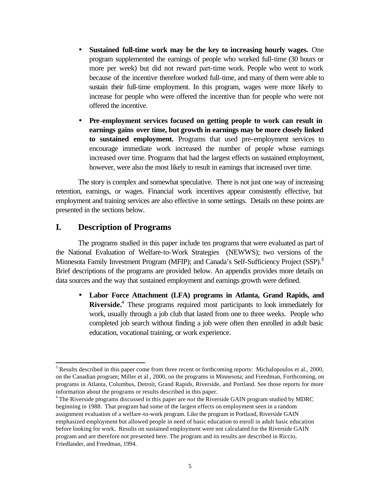- **Sustained full-time work may be the key to increasing hourly wages.** One program supplemented the earnings of people who worked full-time (30 hours or more per week) but did not reward part-time work. People who went to work because of the incentive therefore worked full-time, and many of them were able to sustain their full-time employment. In this program, wages were more likely to increase for people who were offered the incentive than for people who were not offered the incentive.
- **· Pre-employment services focused on getting people to work can result in earnings gains over time, but growth in earnings may be more closely linked to sustained employment.** Programs that used pre-employment services to encourage immediate work increased the number of people whose earnings increased over time. Programs that had the largest effects on sustained employment, however, were also the most likely to result in earnings that increased over time.

The story is complex and somewhat speculative. There is not just one way of increasing retention, earnings, or wages. Financial work incentives appear consistently effective, but employment and training services are also effective in some settings. Details on these points are presented in the sections below.

# **I. Description of Programs**

l

The programs studied in this paper include ten programs that were evaluated as part of the National Evaluation of Welfare-to-Work Strategies (NEWWS); two versions of the Minnesota Family Investment Program (MFIP); and Canada's Self-Sufficiency Project (SSP).<sup>3</sup> Brief descriptions of the programs are provided below. An appendix provides more details on data sources and the way that sustained employment and earnings growth were defined.

• **Labor Force Attachment (LFA) programs in Atlanta, Grand Rapids, and** Riverside.<sup>4</sup> These programs required most participants to look immediately for work, usually through a job club that lasted from one to three weeks. People who completed job search without finding a job were often then enrolled in adult basic education, vocational training, or work experience.

 $3$  Results described in this paper come from three recent or forthcoming reports: Michalopoulos et al., 2000, on the Canadian program; Miller et al., 2000, on the programs in Minnesota; and Freedman, Forthcoming, on programs in Atlanta, Columbus, Detroit, Grand Rapids, Riverside, and Portland. See those reports for more information about the programs or results described in this paper.

<sup>4</sup> The Riverside programs discussed in this paper are *not* the Riverside GAIN program studied by MDRC beginning in 1988. That program had some of the largest effects on employment seen in a random assignment evaluation of a welfare-to-work program. Like the program in Portland, Riverside GAIN emphasized employment but allowed people in need of basic education to enroll in adult basic education before looking for work. Results on sustained employment were not calculated for the Riverside GAIN program and are therefore not presented here. The program and its results are described in Riccio, Friedlander, and Freedman, 1994.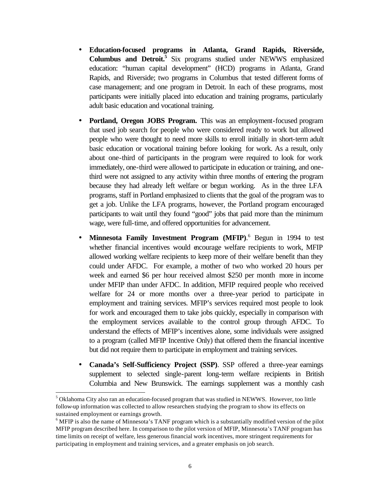- **Education-focused programs in Atlanta, Grand Rapids, Riverside, Columbus and Detroit.<sup>5</sup>** Six programs studied under NEWWS emphasized education: "human capital development" (HCD) programs in Atlanta, Grand Rapids, and Riverside; two programs in Columbus that tested different forms of case management; and one program in Detroit. In each of these programs, most participants were initially placed into education and training programs, particularly adult basic education and vocational training.
- **· Portland, Oregon JOBS Program.** This was an employment-focused program that used job search for people who were considered ready to work but allowed people who were thought to need more skills to enroll initially in short-term adult basic education or vocational training before looking for work. As a result, only about one-third of participants in the program were required to look for work immediately, one-third were allowed to participate in education or training, and onethird were not assigned to any activity within three months of entering the program because they had already left welfare or begun working. As in the three LFA programs, staff in Portland emphasized to clients that the goal of the program was to get a job. Unlike the LFA programs, however, the Portland program encouraged participants to wait until they found "good" jobs that paid more than the minimum wage, were full-time, and offered opportunities for advancement.
- Minnesota Family Investment Program (MFIP).<sup>6</sup> Begun in 1994 to test whether financial incentives would encourage welfare recipients to work, MFIP allowed working welfare recipients to keep more of their welfare benefit than they could under AFDC. For example, a mother of two who worked 20 hours per week and earned \$6 per hour received almost \$250 per month more in income under MFIP than under AFDC. In addition, MFIP required people who received welfare for 24 or more months over a three-year period to participate in employment and training services. MFIP's services required most people to look for work and encouraged them to take jobs quickly, especially in comparison with the employment services available to the control group through AFDC. To understand the effects of MFIP's incentives alone, some individuals were assigned to a program (called MFIP Incentive Only) that offered them the financial incentive but did not require them to participate in employment and training services.
- **Canada's Self-Sufficiency Project (SSP)**. SSP offered a three-year earnings supplement to selected single-parent long-term welfare recipients in British Columbia and New Brunswick. The earnings supplement was a monthly cash

<sup>&</sup>lt;sup>5</sup> Oklahoma City also ran an education-focused program that was studied in NEWWS. However, too little follow-up information was collected to allow researchers studying the program to show its effects on sustained employment or earnings growth.

<sup>&</sup>lt;sup>6</sup> MFIP is also the name of Minnesota's TANF program which is a substantially modified version of the pilot MFIP program described here. In comparison to the pilot version of MFIP, Minnesota's TANF program has time limits on receipt of welfare, less generous financial work incentives, more stringent requirements for participating in employment and training services, and a greater emphasis on job search.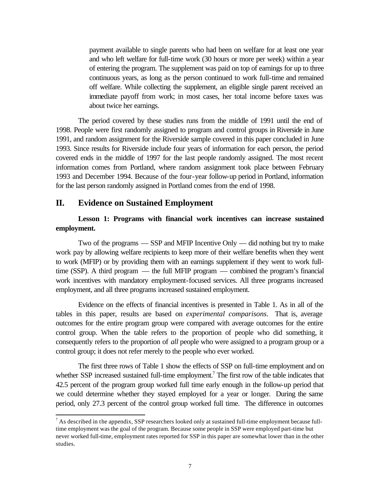payment available to single parents who had been on welfare for at least one year and who left welfare for full-time work (30 hours or more per week) within a year of entering the program. The supplement was paid on top of earnings for up to three continuous years, as long as the person continued to work full-time and remained off welfare. While collecting the supplement, an eligible single parent received an immediate payoff from work; in most cases, her total income before taxes was about twice her earnings.

The period covered by these studies runs from the middle of 1991 until the end of 1998. People were first randomly assigned to program and control groups in Riverside in June 1991, and random assignment for the Riverside sample covered in this paper concluded in June 1993. Since results for Riverside include four years of information for each person, the period covered ends in the middle of 1997 for the last people randomly assigned. The most recent information comes from Portland, where random assignment took place between February 1993 and December 1994. Because of the four-year follow-up period in Portland, information for the last person randomly assigned in Portland comes from the end of 1998.

### **II. Evidence on Sustained Employment**

l

### **Lesson 1: Programs with financial work incentives can increase sustained employment.**

Two of the programs — SSP and MFIP Incentive Only — did nothing but try to make work pay by allowing welfare recipients to keep more of their welfare benefits when they went to work (MFIP) or by providing them with an earnings supplement if they went to work fulltime (SSP). A third program — the full MFIP program — combined the program's financial work incentives with mandatory employment-focused services. All three programs increased employment, and all three programs increased sustained employment.

Evidence on the effects of financial incentives is presented in Table 1. As in all of the tables in this paper, results are based on *experimental comparisons*. That is, average outcomes for the entire program group were compared with average outcomes for the entire control group. When the table refers to the proportion of people who did something, it consequently refers to the proportion of *all* people who were assigned to a program group or a control group; it does not refer merely to the people who ever worked.

The first three rows of Table 1 show the effects of SSP on full-time employment and on whether SSP increased sustained full-time employment.<sup>7</sup> The first row of the table indicates that 42.5 percent of the program group worked full time early enough in the follow-up period that we could determine whether they stayed employed for a year or longer. During the same period, only 27.3 percent of the control group worked full time. The difference in outcomes

 $<sup>7</sup>$  As described in the appendix, SSP researchers looked only at sustained full-time employment because full-</sup> time employment was the goal of the program. Because some people in SSP were employed part-time but never worked full-time, employment rates reported for SSP in this paper are somewhat lower than in the other studies.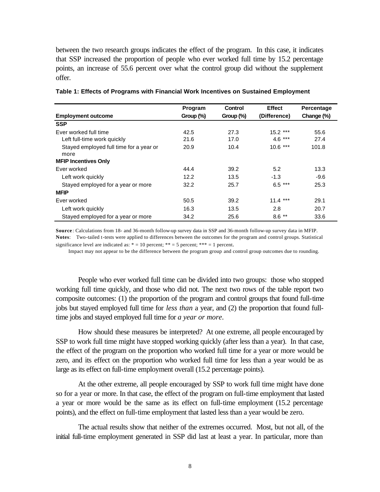between the two research groups indicates the effect of the program. In this case, it indicates that SSP increased the proportion of people who ever worked full time by 15.2 percentage points, an increase of 55.6 percent over what the control group did without the supplement offer.

|                                         | Program      | <b>Control</b> | <b>Effect</b> | Percentage |
|-----------------------------------------|--------------|----------------|---------------|------------|
| <b>Employment outcome</b>               | Group $(\%)$ | Group $(\%)$   | (Difference)  | Change (%) |
| <b>SSP</b>                              |              |                |               |            |
| Ever worked full time                   | 42.5         | 27.3           | $15.2***$     | 55.6       |
| Left full-time work quickly             | 21.6         | 17.0           | $4.6***$      | 27.4       |
| Stayed employed full time for a year or | 20.9         | 10.4           | $10.6***$     | 101.8      |
| more<br><b>MFIP Incentives Only</b>     |              |                |               |            |
| Ever worked                             | 44.4         | 39.2           | 5.2           | 13.3       |
| Left work quickly                       | 12.2         | 13.5           | $-1.3$        | $-9.6$     |
| Stayed employed for a year or more      | 32.2         | 25.7           | $6.5***$      | 25.3       |
| <b>MFIP</b>                             |              |                |               |            |
| Ever worked                             | 50.5         | 39.2           | $11.4***$     | 29.1       |
| Left work quickly                       | 16.3         | 13.5           | 2.8           | 20.7       |
| Stayed employed for a year or more      | 34.2         | 25.6           | $8.6***$      | 33.6       |

**Table 1: Effects of Programs with Financial Work Incentives on Sustained Employment**

**Source** : Calculations from 18- and 36-month follow-up survey data in SSP and 36-month follow-up survey data in MFIP. **Notes**: Two-tailed t-tests were applied to differences between the outcomes for the program and control groups. Statistical significance level are indicated as:  $* = 10$  percent;  $** = 5$  percent;  $*** = 1$  percent.

Impact may not appear to be the difference between the program group and control group outcomes due to rounding.

People who ever worked full time can be divided into two groups: those who stopped working full time quickly, and those who did not. The next two rows of the table report two composite outcomes: (1) the proportion of the program and control groups that found full-time jobs but stayed employed full time for *less than* a year, and (2) the proportion that found fulltime jobs and stayed employed full time for *a year or more*.

How should these measures be interpreted? At one extreme, all people encouraged by SSP to work full time might have stopped working quickly (after less than a year). In that case, the effect of the program on the proportion who worked full time for a year or more would be zero, and its effect on the proportion who worked full time for less than a year would be as large as its effect on full-time employment overall (15.2 percentage points).

At the other extreme, all people encouraged by SSP to work full time might have done so for a year or more. In that case, the effect of the program on full-time employment that lasted a year or more would be the same as its effect on full-time employment (15.2 percentage points), and the effect on full-time employment that lasted less than a year would be zero.

The actual results show that neither of the extremes occurred. Most, but not all, of the initial full-time employment generated in SSP did last at least a year. In particular, more than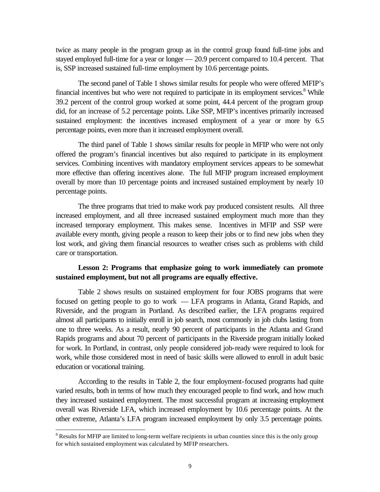twice as many people in the program group as in the control group found full-time jobs and stayed employed full-time for a year or longer  $-20.9$  percent compared to 10.4 percent. That is, SSP increased sustained full-time employment by 10.6 percentage points.

The second panel of Table 1 shows similar results for people who were offered MFIP's financial incentives but who were not required to participate in its employment services.<sup>8</sup> While 39.2 percent of the control group worked at some point, 44.4 percent of the program group did, for an increase of 5.2 percentage points. Like SSP, MFIP's incentives primarily increased sustained employment: the incentives increased employment of a year or more by 6.5 percentage points, even more than it increased employment overall.

The third panel of Table 1 shows similar results for people in MFIP who were not only offered the program's financial incentives but also required to participate in its employment services. Combining incentives with mandatory employment services appears to be somewhat more effective than offering incentives alone. The full MFIP program increased employment overall by more than 10 percentage points and increased sustained employment by nearly 10 percentage points.

The three programs that tried to make work pay produced consistent results. All three increased employment, and all three increased sustained employment much more than they increased temporary employment. This makes sense. Incentives in MFIP and SSP were available every month, giving people a reason to keep their jobs or to find new jobs when they lost work, and giving them financial resources to weather crises such as problems with child care or transportation.

### **Lesson 2: Programs that emphasize going to work immediately can promote sustained employment, but not all programs are equally effective.**

Table 2 shows results on sustained employment for four JOBS programs that were focused on getting people to go to work — LFA programs in Atlanta, Grand Rapids, and Riverside, and the program in Portland. As described earlier, the LFA programs required almost all participants to initially enroll in job search, most commonly in job clubs lasting from one to three weeks. As a result, nearly 90 percent of participants in the Atlanta and Grand Rapids programs and about 70 percent of participants in the Riverside program initially looked for work. In Portland, in contrast, only people considered job-ready were required to look for work, while those considered most in need of basic skills were allowed to enroll in adult basic education or vocational training.

According to the results in Table 2, the four employment-focused programs had quite varied results, both in terms of how much they encouraged people to find work, and how much they increased sustained employment. The most successful program at increasing employment overall was Riverside LFA, which increased employment by 10.6 percentage points. At the other extreme, Atlanta's LFA program increased employment by only 3.5 percentage points.

<sup>&</sup>lt;sup>8</sup> Results for MFIP are limited to long-term welfare recipients in urban counties since this is the only group for which sustained employment was calculated by MFIP researchers.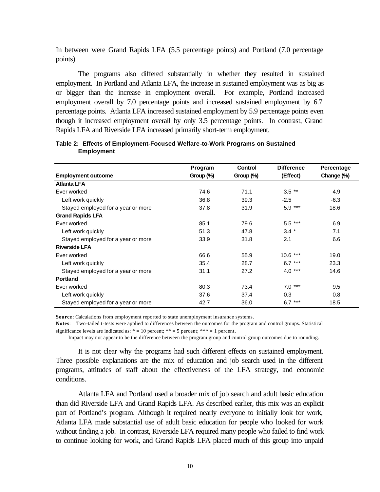In between were Grand Rapids LFA (5.5 percentage points) and Portland (7.0 percentage points).

The programs also differed substantially in whether they resulted in sustained employment. In Portland and Atlanta LFA, the increase in sustained employment was as big as or bigger than the increase in employment overall. For example, Portland increased employment overall by 7.0 percentage points and increased sustained employment by 6.7 percentage points. Atlanta LFA increased sustained employment by 5.9 percentage points even though it increased employment overall by only 3.5 percentage points. In contrast, Grand Rapids LFA and Riverside LFA increased primarily short-term employment.

|                                    | Program      | <b>Control</b> | <b>Difference</b> | Percentage |
|------------------------------------|--------------|----------------|-------------------|------------|
| <b>Employment outcome</b>          | Group $(\%)$ | Group (%)      | (Effect)          | Change (%) |
| <b>Atlanta LFA</b>                 |              |                |                   |            |
| Ever worked                        | 74.6         | 71.1           | $3.5$ **          | 4.9        |
| Left work quickly                  | 36.8         | 39.3           | $-2.5$            | $-6.3$     |
| Stayed employed for a year or more | 37.8         | 31.9           | $5.9***$          | 18.6       |
| <b>Grand Rapids LFA</b>            |              |                |                   |            |
| Ever worked                        | 85.1         | 79.6           | $5.5***$          | 6.9        |
| Left work quickly                  | 51.3         | 47.8           | $3.4*$            | 7.1        |
| Stayed employed for a year or more | 33.9         | 31.8           | 2.1               | 6.6        |
| <b>Riverside LFA</b>               |              |                |                   |            |
| Ever worked                        | 66.6         | 55.9           | $10.6***$         | 19.0       |
| Left work quickly                  | 35.4         | 28.7           | $6.7***$          | 23.3       |
| Stayed employed for a year or more | 31.1         | 27.2           | $4.0***$          | 14.6       |
| <b>Portland</b>                    |              |                |                   |            |
| Ever worked                        | 80.3         | 73.4           | $***$<br>7.0      | 9.5        |
| Left work quickly                  | 37.6         | 37.4           | 0.3               | 0.8        |
| Stayed employed for a year or more | 42.7         | 36.0           | $6.7***$          | 18.5       |

#### **Table 2: Effects of Employment-Focused Welfare-to-Work Programs on Sustained Employment**

**Source** : Calculations from employment reported to state unemployment insurance systems.

**Notes**: Two-tailed t-tests were applied to differences between the outcomes for the program and control groups. Statistical significance levels are indicated as:  $* = 10$  percent;  $** = 5$  percent;  $*** = 1$  percent.

Impact may not appear to be the difference between the program group and control group outcomes due to rounding.

It is not clear why the programs had such different effects on sustained employment. Three possible explanations are the mix of education and job search used in the different programs, attitudes of staff about the effectiveness of the LFA strategy, and economic conditions.

Atlanta LFA and Portland used a broader mix of job search and adult basic education than did Riverside LFA and Grand Rapids LFA. As described earlier, this mix was an explicit part of Portland's program. Although it required nearly everyone to initially look for work, Atlanta LFA made substantial use of adult basic education for people who looked for work without finding a job. In contrast, Riverside LFA required many people who failed to find work to continue looking for work, and Grand Rapids LFA placed much of this group into unpaid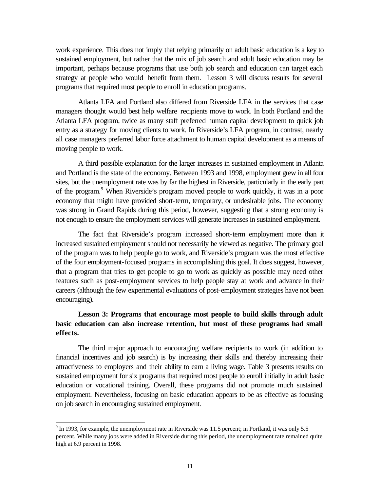work experience. This does not imply that relying primarily on adult basic education is a key to sustained employment, but rather that the mix of job search and adult basic education may be important, perhaps because programs that use both job search and education can target each strategy at people who would benefit from them. Lesson 3 will discuss results for several programs that required most people to enroll in education programs.

Atlanta LFA and Portland also differed from Riverside LFA in the services that case managers thought would best help welfare recipients move to work. In both Portland and the Atlanta LFA program, twice as many staff preferred human capital development to quick job entry as a strategy for moving clients to work. In Riverside's LFA program, in contrast, nearly all case managers preferred labor force attachment to human capital development as a means of moving people to work.

A third possible explanation for the larger increases in sustained employment in Atlanta and Portland is the state of the economy. Between 1993 and 1998, employment grew in all four sites, but the unemployment rate was by far the highest in Riverside, particularly in the early part of the program.<sup>9</sup> When Riverside's program moved people to work quickly, it was in a poor economy that might have provided short-term, temporary, or undesirable jobs. The economy was strong in Grand Rapids during this period, however, suggesting that a strong economy is not enough to ensure the employment services will generate increases in sustained employment.

The fact that Riverside's program increased short-term employment more than it increased sustained employment should not necessarily be viewed as negative. The primary goal of the program was to help people go to work, and Riverside's program was the most effective of the four employment-focused programs in accomplishing this goal. It does suggest, however, that a program that tries to get people to go to work as quickly as possible may need other features such as post-employment services to help people stay at work and advance in their careers (although the few experimental evaluations of post-employment strategies have not been encouraging).

# **Lesson 3: Programs that encourage most people to build skills through adult basic education can also increase retention, but most of these programs had small effects.**

The third major approach to encouraging welfare recipients to work (in addition to financial incentives and job search) is by increasing their skills and thereby increasing their attractiveness to employers and their ability to earn a living wage. Table 3 presents results on sustained employment for six programs that required most people to enroll initially in adult basic education or vocational training. Overall, these programs did not promote much sustained employment. Nevertheless, focusing on basic education appears to be as effective as focusing on job search in encouraging sustained employment.

 $9<sup>9</sup>$  In 1993, for example, the unemployment rate in Riverside was 11.5 percent; in Portland, it was only 5.5 percent. While many jobs were added in Riverside during this period, the unemployment rate remained quite high at 6.9 percent in 1998.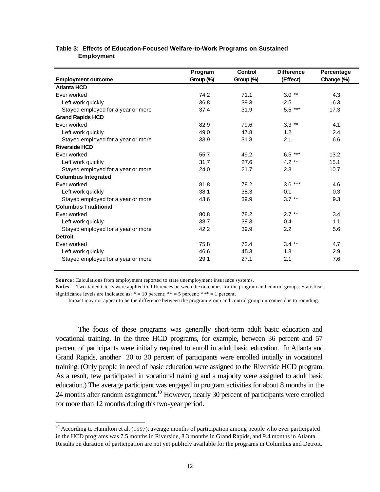|                                    | Program   | <b>Control</b> | <b>Difference</b> | Percentage |
|------------------------------------|-----------|----------------|-------------------|------------|
| <b>Employment outcome</b>          | Group (%) | Group (%)      | (Effect)          | Change (%) |
| <b>Atlanta HCD</b>                 |           |                |                   |            |
| Ever worked                        | 74.2      | 71.1           | $3.0**$           | 4.3        |
| Left work quickly                  | 36.8      | 39.3           | $-2.5$            | $-6.3$     |
| Stayed employed for a year or more | 37.4      | 31.9           | 5.5 ***           | 17.3       |
| <b>Grand Rapids HCD</b>            |           |                |                   |            |
| Ever worked                        | 82.9      | 79.6           | $3.3$ **          | 4.1        |
| Left work quickly                  | 49.0      | 47.8           | 1.2               | 2.4        |
| Stayed employed for a year or more | 33.9      | 31.8           | 2.1               | 6.6        |
| <b>Riverside HCD</b>               |           |                |                   |            |
| Ever worked                        | 55.7      | 49.2           | $6.5***$          | 13.2       |
| Left work quickly                  | 31.7      | 27.6           | 4.2 $**$          | 15.1       |
| Stayed employed for a year or more | 24.0      | 21.7           | 2.3               | 10.7       |
| <b>Columbus Integrated</b>         |           |                |                   |            |
| Ever worked                        | 81.8      | 78.2           | $3.6***$          | 4.6        |
| Left work quickly                  | 38.1      | 38.3           | $-0.1$            | $-0.3$     |
| Stayed employed for a year or more | 43.6      | 39.9           | $3.7***$          | 9.3        |
| <b>Columbus Traditional</b>        |           |                |                   |            |
| Ever worked                        | 80.8      | 78.2           | $2.7***$          | 3.4        |
| Left work quickly                  | 38.7      | 38.3           | 0.4               | 1.1        |
| Stayed employed for a year or more | 42.2      | 39.9           | 2.2               | 5.6        |
| <b>Detroit</b>                     |           |                |                   |            |
| Ever worked                        | 75.8      | 72.4           | $3.4***$          | 4.7        |
| Left work quickly                  | 46.6      | 45.3           | 1.3               | 2.9        |
| Stayed employed for a year or more | 29.1      | 27.1           | 2.1               | 7.6        |

#### **Table 3: Effects of Education-Focused Welfare-to-Work Programs on Sustained Employment**

**Source** : Calculations from employment reported to state unemployment insurance systems.

l

**Notes**: Two-tailed t-tests were applied to differences between the outcomes for the program and control groups. Statistical significance levels are indicated as:  $* = 10$  percent;  $** = 5$  percent;  $*** = 1$  percent.

Impact may not appear to be the difference between the program group and control group outcomes due to rounding.

The focus of these programs was generally short-term adult basic education and vocational training. In the three HCD programs, for example, between 36 percent and 57 percent of participants were initially required to enroll in adult basic education. In Atlanta and Grand Rapids, another 20 to 30 percent of participants were enrolled initially in vocational training. (Only people in need of basic education were assigned to the Riverside HCD program. As a result, few participated in vocational training and a majority were assigned to adult basic education.) The average participant was engaged in program activities for about 8 months in the 24 months after random assignment.<sup>10</sup> However, nearly 30 percent of participants were enrolled for more than 12 months during this two-year period.

 $10$  According to Hamilton et al. (1997), average months of participation among people who ever participated in the HCD programs was 7.5 months in Riverside, 8.3 months in Grand Rapids, and 9.4 months in Atlanta. Results on duration of participation are not yet publicly available for the programs in Columbus and Detroit.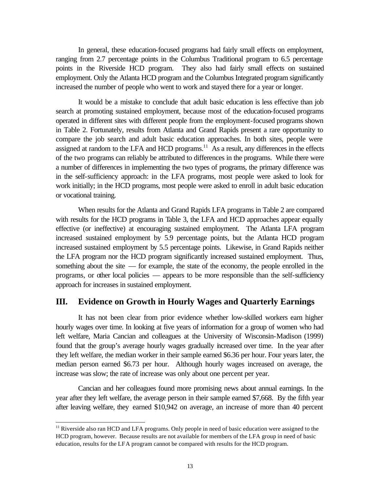In general, these education-focused programs had fairly small effects on employment, ranging from 2.7 percentage points in the Columbus Traditional program to 6.5 percentage points in the Riverside HCD program. They also had fairly small effects on sustained employment. Only the Atlanta HCD program and the Columbus Integrated program significantly increased the number of people who went to work and stayed there for a year or longer.

It would be a mistake to conclude that adult basic education is less effective than job search at promoting sustained employment, because most of the education-focused programs operated in different sites with different people from the employment-focused programs shown in Table 2. Fortunately, results from Atlanta and Grand Rapids present a rare opportunity to compare the job search and adult basic education approaches. In both sites, people were assigned at random to the LFA and HCD programs.<sup>11</sup> As a result, any differences in the effects of the two programs can reliably be attributed to differences in the programs. While there were a number of differences in implementing the two types of programs, the primary difference was in the self-sufficiency approach: in the LFA programs, most people were asked to look for work initially; in the HCD programs, most people were asked to enroll in adult basic education or vocational training.

When results for the Atlanta and Grand Rapids LFA programs in Table 2 are compared with results for the HCD programs in Table 3, the LFA and HCD approaches appear equally effective (or ineffective) at encouraging sustained employment. The Atlanta LFA program increased sustained employment by 5.9 percentage points, but the Atlanta HCD program increased sustained employment by 5.5 percentage points. Likewise, in Grand Rapids neither the LFA program nor the HCD program significantly increased sustained employment. Thus, something about the site — for example, the state of the economy, the people enrolled in the programs, or other local policies — appears to be more responsible than the self-sufficiency approach for increases in sustained employment.

# **III. Evidence on Growth in Hourly Wages and Quarterly Earnings**

It has not been clear from prior evidence whether low-skilled workers earn higher hourly wages over time. In looking at five years of information for a group of women who had left welfare, Maria Cancian and colleagues at the University of Wisconsin-Madison (1999) found that the group's average hourly wages gradually increased over time. In the year after they left welfare, the median worker in their sample earned \$6.36 per hour. Four years later, the median person earned \$6.73 per hour. Although hourly wages increased on average, the increase was slow; the rate of increase was only about one percent per year.

Cancian and her colleagues found more promising news about annual earnings. In the year after they left welfare, the average person in their sample earned \$7,668. By the fifth year after leaving welfare, they earned \$10,942 on average, an increase of more than 40 percent

<sup>&</sup>lt;sup>11</sup> Riverside also ran HCD and LFA programs. Only people in need of basic education were assigned to the HCD program, however. Because results are not available for members of the LFA group in need of basic education, results for the LFA program cannot be compared with results for the HCD program.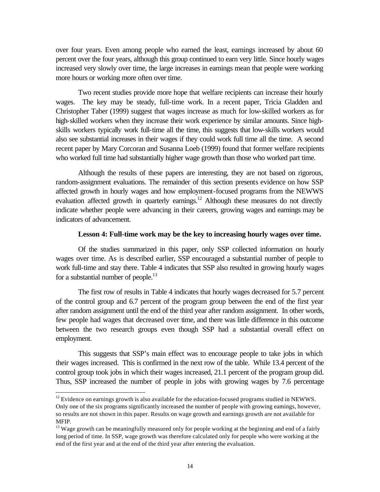over four years. Even among people who earned the least, earnings increased by about 60 percent over the four years, although this group continued to earn very little. Since hourly wages increased very slowly over time, the large increases in earnings mean that people were working more hours or working more often over time.

Two recent studies provide more hope that welfare recipients can increase their hourly wages. The key may be steady, full-time work. In a recent paper, Tricia Gladden and Christopher Taber (1999) suggest that wages increase as much for low-skilled workers as for high-skilled workers when they increase their work experience by similar amounts. Since highskills workers typically work full-time all the time, this suggests that low-skills workers would also see substantial increases in their wages if they could work full time all the time. A second recent paper by Mary Corcoran and Susanna Loeb (1999) found that former welfare recipients who worked full time had substantially higher wage growth than those who worked part time.

Although the results of these papers are interesting, they are not based on rigorous, random-assignment evaluations. The remainder of this section presents evidence on how SSP affected growth in hourly wages and how employment-focused programs from the NEWWS evaluation affected growth in quarterly earnings.<sup>12</sup> Although these measures do not directly indicate whether people were advancing in their careers, growing wages and earnings may be indicators of advancement.

### **Lesson 4: Full-time work may be the key to increasing hourly wages over time.**

Of the studies summarized in this paper, only SSP collected information on hourly wages over time. As is described earlier, SSP encouraged a substantial number of people to work full-time and stay there. Table 4 indicates that SSP also resulted in growing hourly wages for a substantial number of people.<sup>13</sup>

The first row of results in Table 4 indicates that hourly wages decreased for 5.7 percent of the control group and 6.7 percent of the program group between the end of the first year after random assignment until the end of the third year after random assignment. In other words, few people had wages that decreased over time, and there was little difference in this outcome between the two research groups even though SSP had a substantial overall effect on employment.

This suggests that SSP's main effect was to encourage people to take jobs in which their wages increased. This is confirmed in the next row of the table. While 13.4 percent of the control group took jobs in which their wages increased, 21.1 percent of the program group did. Thus, SSP increased the number of people in jobs with growing wages by 7.6 percentage

 $12$  Evidence on earnings growth is also available for the education-focused programs studied in NEWWS. Only one of the six programs significantly increased the number of people with growing earnings, however, so results are not shown in this paper. Results on wage growth and earnings growth are not available for MFIP.

<sup>&</sup>lt;sup>13</sup> Wage growth can be meaningfully measured only for people working at the beginning and end of a fairly long period of time. In SSP, wage growth was therefore calculated only for people who were working at the end of the first year and at the end of the third year after entering the evaluation.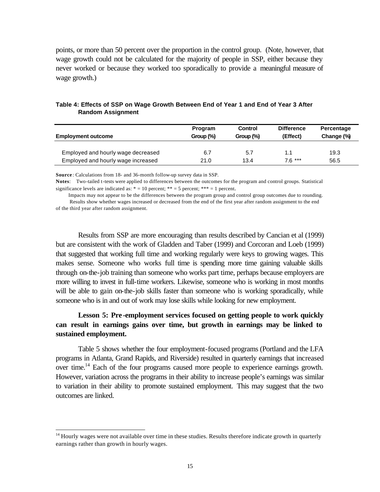points, or more than 50 percent over the proportion in the control group. (Note, however, that wage growth could not be calculated for the majority of people in SSP, either because they never worked or because they worked too sporadically to provide a meaningful measure of wage growth.)

| <b>Employment outcome</b>          | Program<br>Group $(\%)$ | Control<br>Group $(\%)$ | <b>Difference</b><br>(Effect) | Percentage<br>Change (%) |
|------------------------------------|-------------------------|-------------------------|-------------------------------|--------------------------|
| Employed and hourly wage decreased | 6.7                     | 5.7                     | 1.1                           | 19.3                     |
| Employed and hourly wage increased | 21.0                    | 13.4                    | $7.6***$                      | 56.5                     |

### **Table 4: Effects of SSP on Wage Growth Between End of Year 1 and End of Year 3 After Random Assignment**

**Source** : Calculations from 18- and 36-month follow-up survey data in SSP.

**Notes**: Two-tailed t-tests were applied to differences between the outcomes for the program and control groups. Statistical significance levels are indicated as:  $* = 10$  percent;  $** = 5$  percent;  $*** = 1$  percent.

 Impacts may not appear to be the differences between the program group and control group outcomes due to rounding. Results show whether wages increased or decreased from the end of the first year after random assignment to the end

of the third year after random assignment.

l

Results from SSP are more encouraging than results described by Cancian et al (1999) but are consistent with the work of Gladden and Taber (1999) and Corcoran and Loeb (1999) that suggested that working full time and working regularly were keys to growing wages. This makes sense. Someone who works full time is spending more time gaining valuable skills through on-the-job training than someone who works part time, perhaps because employers are more willing to invest in full-time workers. Likewise, someone who is working in most months will be able to gain on-the-job skills faster than someone who is working sporadically, while someone who is in and out of work may lose skills while looking for new employment.

# **Lesson 5: Pre -employment services focused on getting people to work quickly can result in earnings gains over time, but growth in earnings may be linked to sustained employment.**

Table 5 shows whether the four employment-focused programs (Portland and the LFA programs in Atlanta, Grand Rapids, and Riverside) resulted in quarterly earnings that increased over time.<sup>14</sup> Each of the four programs caused more people to experience earnings growth. However, variation across the programs in their ability to increase people's earnings was similar to variation in their ability to promote sustained employment. This may suggest that the two outcomes are linked.

 $14$  Hourly wages were not available over time in these studies. Results therefore indicate growth in quarterly earnings rather than growth in hourly wages.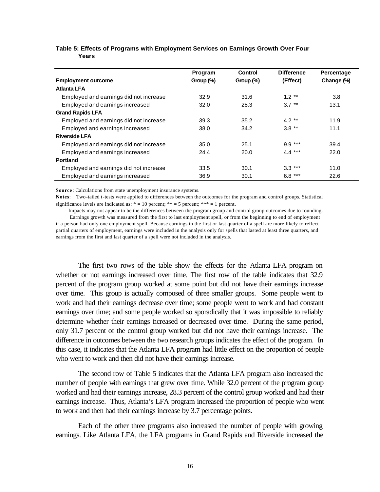|                                        | Program      | Control   | <b>Difference</b> | Percentage |
|----------------------------------------|--------------|-----------|-------------------|------------|
| <b>Employment outcome</b>              | Group $(\%)$ | Group (%) | (Effect)          | Change (%) |
| <b>Atlanta LFA</b>                     |              |           |                   |            |
| Employed and earnings did not increase | 32.9         | 31.6      | $1.2***$          | 3.8        |
| Employed and earnings increased        | 32.0         | 28.3      | $3.7***$          | 13.1       |
| <b>Grand Rapids LFA</b>                |              |           |                   |            |
| Employed and earnings did not increase | 39.3         | 35.2      | $4.2**$           | 11.9       |
| Employed and earnings increased        | 38.0         | 34.2      | $3.8***$          | 11.1       |
| <b>Riverside LFA</b>                   |              |           |                   |            |
| Employed and earnings did not increase | 35.0         | 25.1      | $9.9***$          | 39.4       |
| Employed and earnings increased        | 24.4         | 20.0      | $4.4***$          | 22.0       |
| <b>Portland</b>                        |              |           |                   |            |
| Employed and earnings did not increase | 33.5         | 30.1      | $3.3***$          | 11.0       |
| Employed and earnings increased        | 36.9         | 30.1      | $6.8***$          | 22.6       |

#### **Table 5: Effects of Programs with Employment Services on Earnings Growth Over Four Years**

**Source**: Calculations from state unemployment insurance systems.

**Notes**: Two-tailed t-tests were applied to differences between the outcomes for the program and control groups. Statistical significance levels are indicated as:  $* = 10$  percent;  $** = 5$  percent;  $*** = 1$  percent.

 Impacts may not appear to be the differences between the program group and control group outcomes due to rounding. Earnings growth was measured from the first to last employment spell, or from the beginning to end of employment if a person had only one employment spell. Because earnings in the first or last quarter of a spell are more likely to reflect partial quarters of employment, earnings were included in the analysis only for spells that lasted at least three quarters, and earnings from the first and last quarter of a spell were not included in the analysis.

The first two rows of the table show the effects for the Atlanta LFA program on whether or not earnings increased over time. The first row of the table indicates that 32.9 percent of the program group worked at some point but did not have their earnings increase over time. This group is actually composed of three smaller groups. Some people went to work and had their earnings decrease over time; some people went to work and had constant earnings over time; and some people worked so sporadically that it was impossible to reliably determine whether their earnings increased or decreased over time. During the same period, only 31.7 percent of the control group worked but did not have their earnings increase. The difference in outcomes between the two research groups indicates the effect of the program. In this case, it indicates that the Atlanta LFA program had little effect on the proportion of people who went to work and then did not have their earnings increase.

The second row of Table 5 indicates that the Atlanta LFA program also increased the number of people with earnings that grew over time. While 32.0 percent of the program group worked and had their earnings increase, 28.3 percent of the control group worked and had their earnings increase. Thus, Atlanta's LFA program increased the proportion of people who went to work and then had their earnings increase by 3.7 percentage points.

Each of the other three programs also increased the number of people with growing earnings. Like Atlanta LFA, the LFA programs in Grand Rapids and Riverside increased the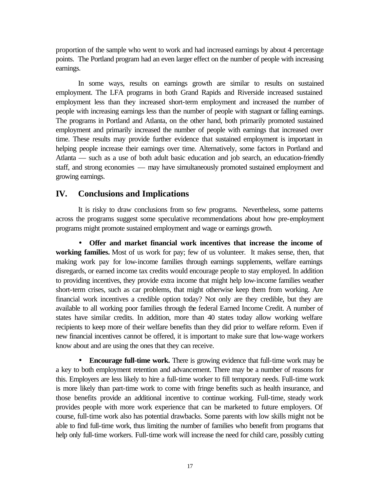proportion of the sample who went to work and had increased earnings by about 4 percentage points. The Portland program had an even larger effect on the number of people with increasing earnings.

In some ways, results on earnings growth are similar to results on sustained employment. The LFA programs in both Grand Rapids and Riverside increased sustained employment less than they increased short-term employment and increased the number of people with increasing earnings less than the number of people with stagnant or falling earnings. The programs in Portland and Atlanta, on the other hand, both primarily promoted sustained employment and primarily increased the number of people with earnings that increased over time. These results may provide further evidence that sustained employment is important in helping people increase their earnings over time. Alternatively, some factors in Portland and Atlanta — such as a use of both adult basic education and job search, an education-friendly staff, and strong economies — may have simultaneously promoted sustained employment and growing earnings.

### **IV. Conclusions and Implications**

It is risky to draw conclusions from so few programs. Nevertheless, some patterns across the programs suggest some speculative recommendations about how pre-employment programs might promote sustained employment and wage or earnings growth.

• **Offer and market financial work incentives that increase the income of working families.** Most of us work for pay; few of us volunteer. It makes sense, then, that making work pay for low-income families through earnings supplements, welfare earnings disregards, or earned income tax credits would encourage people to stay employed. In addition to providing incentives, they provide extra income that might help low-income families weather short-term crises, such as car problems, that might otherwise keep them from working. Are financial work incentives a credible option today? Not only are they credible, but they are available to all working poor families through the federal Earned Income Credit. A number of states have similar credits. In addition, more than 40 states today allow working welfare recipients to keep more of their welfare benefits than they did prior to welfare reform. Even if new financial incentives cannot be offered, it is important to make sure that low-wage workers know about and are using the ones that they can receive.

**Encourage full-time work.** There is growing evidence that full-time work may be a key to both employment retention and advancement. There may be a number of reasons for this. Employers are less likely to hire a full-time worker to fill temporary needs. Full-time work is more likely than part-time work to come with fringe benefits such as health insurance, and those benefits provide an additional incentive to continue working. Full-time, steady work provides people with more work experience that can be marketed to future employers. Of course, full-time work also has potential drawbacks. Some parents with low skills might not be able to find full-time work, thus limiting the number of families who benefit from programs that help only full-time workers. Full-time work will increase the need for child care, possibly cutting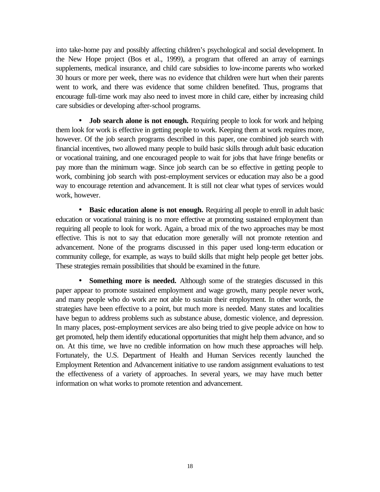into take-home pay and possibly affecting children's psychological and social development. In the New Hope project (Bos et al., 1999), a program that offered an array of earnings supplements, medical insurance, and child care subsidies to low-income parents who worked 30 hours or more per week, there was no evidence that children were hurt when their parents went to work, and there was evidence that some children benefited. Thus, programs that encourage full-time work may also need to invest more in child care, either by increasing child care subsidies or developing after-school programs.

**· Job search alone is not enough.** Requiring people to look for work and helping them look for work is effective in getting people to work. Keeping them at work requires more, however. Of the job search programs described in this paper, one combined job search with financial incentives, two allowed many people to build basic skills through adult basic education or vocational training, and one encouraged people to wait for jobs that have fringe benefits or pay more than the minimum wage. Since job search can be so effective in getting people to work, combining job search with post-employment services or education may also be a good way to encourage retention and advancement. It is still not clear what types of services would work, however.

**· Basic education alone is not enough.** Requiring all people to enroll in adult basic education or vocational training is no more effective at promoting sustained employment than requiring all people to look for work. Again, a broad mix of the two approaches may be most effective. This is not to say that education more generally will not promote retention and advancement. None of the programs discussed in this paper used long-term education or community college, for example, as ways to build skills that might help people get better jobs. These strategies remain possibilities that should be examined in the future.

**· Something more is needed.** Although some of the strategies discussed in this paper appear to promote sustained employment and wage growth, many people never work, and many people who do work are not able to sustain their employment. In other words, the strategies have been effective to a point, but much more is needed. Many states and localities have begun to address problems such as substance abuse, domestic violence, and depression. In many places, post-employment services are also being tried to give people advice on how to get promoted, help them identify educational opportunities that might help them advance, and so on. At this time, we have no credible information on how much these approaches will help. Fortunately, the U.S. Department of Health and Human Services recently launched the Employment Retention and Advancement initiative to use random assignment evaluations to test the effectiveness of a variety of approaches. In several years, we may have much better information on what works to promote retention and advancement.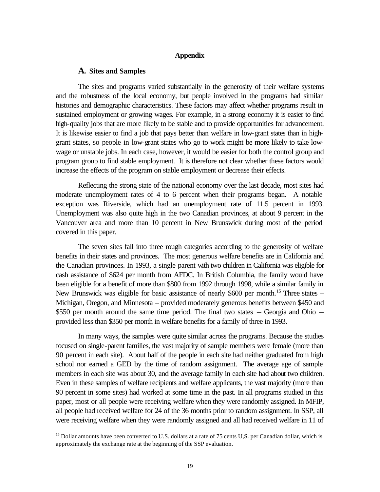#### **Appendix**

#### **A. Sites and Samples**

l

The sites and programs varied substantially in the generosity of their welfare systems and the robustness of the local economy, but people involved in the programs had similar histories and demographic characteristics. These factors may affect whether programs result in sustained employment or growing wages. For example, in a strong economy it is easier to find high-quality jobs that are more likely to be stable and to provide opportunities for advancement. It is likewise easier to find a job that pays better than welfare in low-grant states than in highgrant states, so people in low-grant states who go to work might be more likely to take lowwage or unstable jobs. In each case, however, it would be easier for both the control group and program group to find stable employment. It is therefore not clear whether these factors would increase the effects of the program on stable employment or decrease their effects.

Reflecting the strong state of the national economy over the last decade, most sites had moderate unemployment rates of 4 to 6 percent when their programs began. A notable exception was Riverside, which had an unemployment rate of 11.5 percent in 1993. Unemployment was also quite high in the two Canadian provinces, at about 9 percent in the Vancouver area and more than 10 percent in New Brunswick during most of the period covered in this paper.

The seven sites fall into three rough categories according to the generosity of welfare benefits in their states and provinces. The most generous welfare benefits are in California and the Canadian provinces. In 1993, a single parent with two children in California was eligible for cash assistance of \$624 per month from AFDC. In British Columbia, the family would have been eligible for a benefit of more than \$800 from 1992 through 1998, while a similar family in New Brunswick was eligible for basic assistance of nearly \$600 per month.<sup>15</sup> Three states – Michigan, Oregon, and Minnesota – provided moderately generous benefits between \$450 and \$550 per month around the same time period. The final two states  $-$  Georgia and Ohio  $$ provided less than \$350 per month in welfare benefits for a family of three in 1993.

In many ways, the samples were quite similar across the programs. Because the studies focused on single-parent families, the vast majority of sample members were female (more than 90 percent in each site). About half of the people in each site had neither graduated from high school nor earned a GED by the time of random assignment. The average age of sample members in each site was about 30, and the average family in each site had about two children. Even in these samples of welfare recipients and welfare applicants, the vast majority (more than 90 percent in some sites) had worked at some time in the past. In all programs studied in this paper, most or all people were receiving welfare when they were randomly assigned. In MFIP, all people had received welfare for 24 of the 36 months prior to random assignment. In SSP, all were receiving welfare when they were randomly assigned and all had received welfare in 11 of

<sup>&</sup>lt;sup>15</sup> Dollar amounts have been converted to U.S. dollars at a rate of 75 cents U,S. per Canadian dollar, which is approximately the exchange rate at the beginning of the SSP evaluation.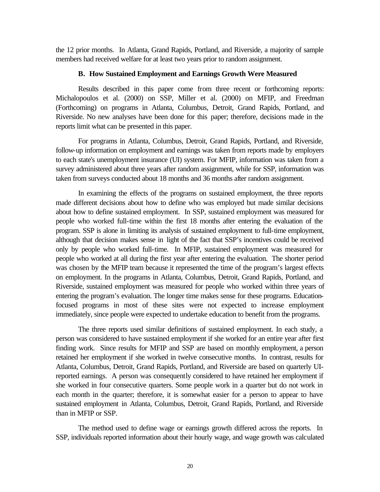the 12 prior months. In Atlanta, Grand Rapids, Portland, and Riverside, a majority of sample members had received welfare for at least two years prior to random assignment.

#### **B. How Sustained Employment and Earnings Growth Were Measured**

Results described in this paper come from three recent or forthcoming reports: Michalopoulos et al. (2000) on SSP, Miller et al. (2000) on MFIP, and Freedman (Forthcoming) on programs in Atlanta, Columbus, Detroit, Grand Rapids, Portland, and Riverside. No new analyses have been done for this paper; therefore, decisions made in the reports limit what can be presented in this paper.

For programs in Atlanta, Columbus, Detroit, Grand Rapids, Portland, and Riverside, follow-up information on employment and earnings was taken from reports made by employers to each state's unemployment insurance (UI) system. For MFIP, information was taken from a survey administered about three years after random assignment, while for SSP, information was taken from surveys conducted about 18 months and 36 months after random assignment.

In examining the effects of the programs on sustained employment, the three reports made different decisions about how to define who was employed but made similar decisions about how to define sustained employment. In SSP, sustained employment was measured for people who worked full-time within the first 18 months after entering the evaluation of the program. SSP is alone in limiting its analysis of sustained employment to full-time employment, although that decision makes sense in light of the fact that SSP's incentives could be received only by people who worked full-time. In MFIP, sustained employment was measured for people who worked at all during the first year after entering the evaluation. The shorter period was chosen by the MFIP team because it represented the time of the program's largest effects on employment. In the programs in Atlanta, Columbus, Detroit, Grand Rapids, Portland, and Riverside, sustained employment was measured for people who worked within three years of entering the program's evaluation. The longer time makes sense for these programs. Educationfocused programs in most of these sites were not expected to increase employment immediately, since people were expected to undertake education to benefit from the programs.

The three reports used similar definitions of sustained employment. In each study, a person was considered to have sustained employment if she worked for an entire year after first finding work. Since results for MFIP and SSP are based on monthly employment, a person retained her employment if she worked in twelve consecutive months. In contrast, results for Atlanta, Columbus, Detroit, Grand Rapids, Portland, and Riverside are based on quarterly UIreported earnings. A person was consequently considered to have retained her employment if she worked in four consecutive quarters. Some people work in a quarter but do not work in each month in the quarter; therefore, it is somewhat easier for a person to appear to have sustained employment in Atlanta, Columbus, Detroit, Grand Rapids, Portland, and Riverside than in MFIP or SSP.

The method used to define wage or earnings growth differed across the reports. In SSP, individuals reported information about their hourly wage, and wage growth was calculated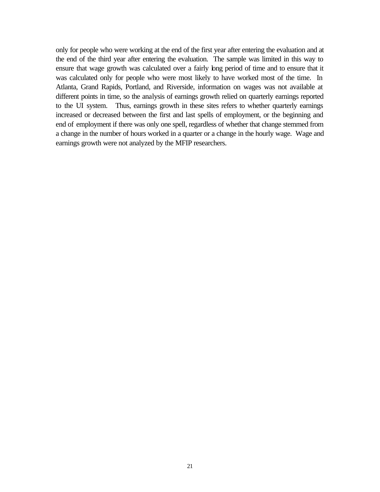only for people who were working at the end of the first year after entering the evaluation and at the end of the third year after entering the evaluation. The sample was limited in this way to ensure that wage growth was calculated over a fairly long period of time and to ensure that it was calculated only for people who were most likely to have worked most of the time. In Atlanta, Grand Rapids, Portland, and Riverside, information on wages was not available at different points in time, so the analysis of earnings growth relied on quarterly earnings reported to the UI system. Thus, earnings growth in these sites refers to whether quarterly earnings increased or decreased between the first and last spells of employment, or the beginning and end of employment if there was only one spell, regardless of whether that change stemmed from a change in the number of hours worked in a quarter or a change in the hourly wage. Wage and earnings growth were not analyzed by the MFIP researchers.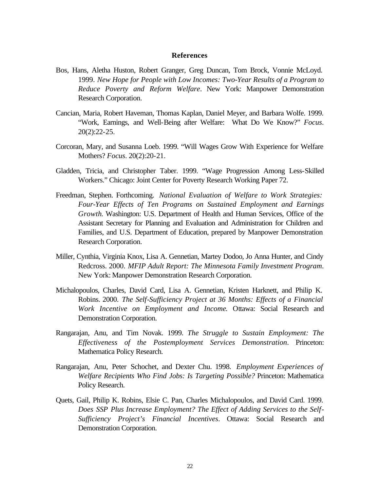#### **References**

- Bos, Hans, Aletha Huston, Robert Granger, Greg Duncan, Tom Brock, Vonnie McLoyd. 1999. *New Hope for People with Low Incomes: Two-Year Results of a Program to Reduce Poverty and Reform Welfare*. New York: Manpower Demonstration Research Corporation.
- Cancian, Maria, Robert Haveman, Thomas Kaplan, Daniel Meyer, and Barbara Wolfe. 1999. "Work, Earnings, and Well-Being after Welfare: What Do We Know?" *Focus*. 20(2):22-25.
- Corcoran, Mary, and Susanna Loeb. 1999. "Will Wages Grow With Experience for Welfare Mothers? *Focus*. 20(2):20-21.
- Gladden, Tricia, and Christopher Taber. 1999. "Wage Progression Among Less-Skilled Workers." Chicago: Joint Center for Poverty Research Working Paper 72.
- Freedman, Stephen. Forthcoming. *National Evaluation of Welfare to Work Strategies: Four-Year Effects of Ten Programs on Sustained Employment and Earnings Growth*. Washington: U.S. Department of Health and Human Services, Office of the Assistant Secretary for Planning and Evaluation and Administration for Children and Families, and U.S. Department of Education, prepared by Manpower Demonstration Research Corporation.
- Miller, Cynthia, Virginia Knox, Lisa A. Gennetian, Martey Dodoo, Jo Anna Hunter, and Cindy Redcross. 2000. *MFIP Adult Report: The Minnesota Family Investment Program*. New York: Manpower Demonstration Research Corporation.
- Michalopoulos, Charles, David Card, Lisa A. Gennetian, Kristen Harknett, and Philip K. Robins. 2000. *The Self-Sufficiency Project at 36 Months: Effects of a Financial Work Incentive on Employment and Income*. Ottawa: Social Research and Demonstration Corporation.
- Rangarajan, Anu, and Tim Novak. 1999. *The Struggle to Sustain Employment: The Effectiveness of the Postemployment Services Demonstration*. Princeton: Mathematica Policy Research.
- Rangarajan, Anu, Peter Schochet, and Dexter Chu. 1998. *Employment Experiences of Welfare Recipients Who Find Jobs: Is Targeting Possible?* Princeton: Mathematica Policy Research.
- Quets, Gail, Philip K. Robins, Elsie C. Pan, Charles Michalopoulos, and David Card. 1999. *Does SSP Plus Increase Employment? The Effect of Adding Services to the Self-Sufficiency Project's Financial Incentives*. Ottawa: Social Research and Demonstration Corporation.